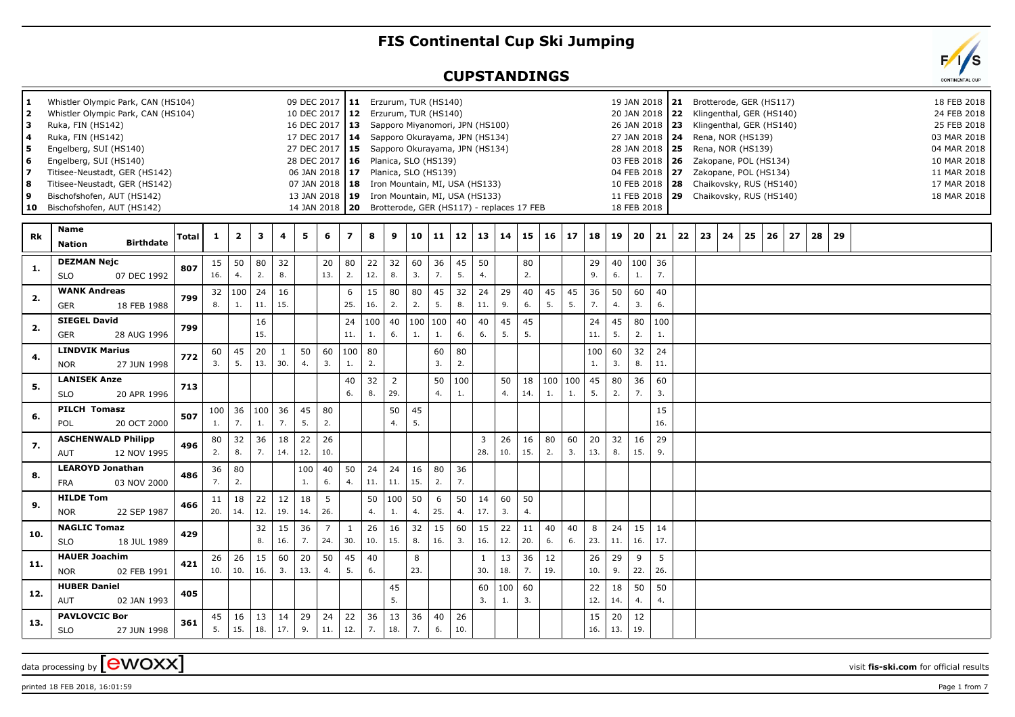## **FIS Continental Cup Ski Jumping**

## **CUPSTANDINGS**

| 1.<br>$\overline{2}$<br>з<br>4<br>5<br>6<br>7<br>8<br>9 | Whistler Olympic Park, CAN (HS104)<br>Whistler Olympic Park, CAN (HS104)<br>Ruka, FIN (HS142)<br>Ruka, FIN (HS142)<br>Engelberg, SUI (HS140)<br>Engelberg, SUI (HS140)<br>Titisee-Neustadt, GER (HS142)<br>Titisee-Neustadt, GER (HS142)<br>Bischofshofen, AUT (HS142)<br>10 Bischofshofen, AUT (HS142) |       |           |                         |                      |                     | 09 DEC 2017   11 Erzurum, TUR (HS140)<br>10 DEC 2017   12<br>16 DEC 2017 13 Sapporo Miyanomori, JPN (HS100)<br>17 DEC 2017   14 Sapporo Okurayama, JPN (HS134)<br>27 DEC 2017   15 Sapporo Okurayama, JPN (HS134)<br>28 DEC 2017   16  Planica, SLO (HS139)<br>06 JAN 2018   17 Planica, SLO (HS139)<br>07 JAN 2018   18 Iron Mountain, MI, USA (HS133)<br>13 JAN 2018   19 Iron Mountain, MI, USA (HS133)<br>14 JAN 2018   20 Brotterode, GER (HS117) - replaces 17 FEB |                       |                     |           | Erzurum, TUR (HS140)  |           |           |           |                                   |           |           |               |              |           |           | 20 JAN 2018 22<br>26 JAN 2018   23<br>28 JAN 2018   25<br>04 FEB 2018 27<br>18 FEB 2018 |           |    |    |    | 19 JAN 2018   21 Brotterode, GER (HS117)<br>Klingenthal, GER (HS140)<br>Klingenthal, GER (HS140)<br>27 JAN 2018   24 Rena, NOR (HS139)<br>Rena, NOR (HS139)<br>03 FEB 2018   26  Zakopane, POL (HS134)<br>Zakopane, POL (HS134)<br>10 FEB 2018   28 Chaikovsky, RUS (HS140)<br>11 FEB 2018   29 Chaikovsky, RUS (HS140) |    |    |    |    |  |  | 18 FEB 2018<br>24 FEB 2018<br>25 FEB 2018<br>03 MAR 2018<br>04 MAR 2018<br>10 MAR 2018<br>11 MAR 2018<br>17 MAR 2018<br>18 MAR 2018 |  |
|---------------------------------------------------------|---------------------------------------------------------------------------------------------------------------------------------------------------------------------------------------------------------------------------------------------------------------------------------------------------------|-------|-----------|-------------------------|----------------------|---------------------|--------------------------------------------------------------------------------------------------------------------------------------------------------------------------------------------------------------------------------------------------------------------------------------------------------------------------------------------------------------------------------------------------------------------------------------------------------------------------|-----------------------|---------------------|-----------|-----------------------|-----------|-----------|-----------|-----------------------------------|-----------|-----------|---------------|--------------|-----------|-----------|-----------------------------------------------------------------------------------------|-----------|----|----|----|-------------------------------------------------------------------------------------------------------------------------------------------------------------------------------------------------------------------------------------------------------------------------------------------------------------------------|----|----|----|----|--|--|-------------------------------------------------------------------------------------------------------------------------------------|--|
| Rk                                                      | <b>Name</b><br><b>Birthdate</b><br><b>Nation</b>                                                                                                                                                                                                                                                        | Total | 1         | $\overline{\mathbf{2}}$ | 3                    | 4                   | 5                                                                                                                                                                                                                                                                                                                                                                                                                                                                        | 6                     | 7                   | 8         | 9                     |           | 10 11     |           | $12 \mid 13 \mid 14 \mid 15 \mid$ |           |           |               | $16 \mid 17$ | 18        | 19        | 20                                                                                      | 21        | 22 | 23 | 24 | 25                                                                                                                                                                                                                                                                                                                      | 26 | 27 | 28 | 29 |  |  |                                                                                                                                     |  |
| -1.                                                     | <b>DEZMAN Nejc</b><br><b>SLO</b><br>07 DEC 1992                                                                                                                                                                                                                                                         | 807   | 15<br>16. | 50<br>4.                | 80<br>2.             | 32<br>8.            |                                                                                                                                                                                                                                                                                                                                                                                                                                                                          | 20<br>13.             | 80<br>2.            | 22<br>12. | 32<br>8.              | 60<br>3.  | 36<br>7.  | 45<br>5.  | 50                                |           | 80<br>2.  |               |              | 29<br>9.  | 6.        | 40  100 <br>1.                                                                          | 36<br>7.  |    |    |    |                                                                                                                                                                                                                                                                                                                         |    |    |    |    |  |  |                                                                                                                                     |  |
| 2.                                                      | <b>WANK Andreas</b><br>GER<br>18 FEB 1988                                                                                                                                                                                                                                                               | 799   | 32<br>8.  | 100<br>1.               | 24<br>11.            | 16<br>15.           |                                                                                                                                                                                                                                                                                                                                                                                                                                                                          |                       | 6<br>25.            | 15<br>16. | 80<br>2.              | 80<br>2.  | 45<br>5.  | 32<br>8.  | 24<br>11.                         | 29<br>9.  | 40<br>6.  | 45<br>5.      | 45<br>5.     | 36<br>7.  | 50<br>4.  | 60<br>3.                                                                                | 40<br>6.  |    |    |    |                                                                                                                                                                                                                                                                                                                         |    |    |    |    |  |  |                                                                                                                                     |  |
| 2.                                                      | <b>SIEGEL David</b><br>GER<br>28 AUG 1996                                                                                                                                                                                                                                                               | 799   |           |                         | 16<br>15.            |                     |                                                                                                                                                                                                                                                                                                                                                                                                                                                                          |                       | 24<br>11.           | 100<br>1. | 40<br>6.              | 100<br>1. | 100<br>1. | 40<br>6.  | 40<br>6.                          | 45<br>5.  | 45<br>5.  |               |              | 24<br>11. | 45<br>5.  | 80<br>2.                                                                                | 100<br>1. |    |    |    |                                                                                                                                                                                                                                                                                                                         |    |    |    |    |  |  |                                                                                                                                     |  |
| 4.                                                      | <b>LINDVIK Marius</b><br><b>NOR</b><br>27 JUN 1998                                                                                                                                                                                                                                                      | 772   | 60<br>3.  | 45<br>5.                | 20<br>13.            | $\mathbf{1}$<br>30. | 50<br>4.                                                                                                                                                                                                                                                                                                                                                                                                                                                                 | 60<br>3.              | 100<br>1.           | 80<br>2.  |                       |           | 60<br>3.  | 80<br>2.  |                                   |           |           |               |              | 100<br>1. | 60<br>3.  | 32<br>8.                                                                                | 24<br>11. |    |    |    |                                                                                                                                                                                                                                                                                                                         |    |    |    |    |  |  |                                                                                                                                     |  |
| 5.                                                      | <b>LANISEK Anze</b><br><b>SLO</b><br>20 APR 1996                                                                                                                                                                                                                                                        | 713   |           |                         |                      |                     |                                                                                                                                                                                                                                                                                                                                                                                                                                                                          |                       | 40<br>6.            | 32<br>8.  | $\overline{2}$<br>29. |           | 50<br>4.  | 100<br>1. |                                   | 50<br>4.  | 18<br>14. | 100 100<br>1. | 1.           | 45<br>5.  | 80<br>2.  | 36<br>7.                                                                                | 60<br>3.  |    |    |    |                                                                                                                                                                                                                                                                                                                         |    |    |    |    |  |  |                                                                                                                                     |  |
| 6.                                                      | <b>PILCH Tomasz</b><br>POL<br>20 OCT 2000                                                                                                                                                                                                                                                               | 507   | 100<br>1. | 36<br>7.                | 100<br>1.            | 36<br>7.            | 45<br>5.                                                                                                                                                                                                                                                                                                                                                                                                                                                                 | 80<br>2.              |                     |           | 50<br>4.              | 45<br>5.  |           |           |                                   |           |           |               |              |           |           |                                                                                         | 15<br>16. |    |    |    |                                                                                                                                                                                                                                                                                                                         |    |    |    |    |  |  |                                                                                                                                     |  |
| 7.                                                      | <b>ASCHENWALD Philipp</b><br>12 NOV 1995<br>AUT                                                                                                                                                                                                                                                         | 496   | 80<br>2.  | 32<br>8.                | 36<br>7 <sub>1</sub> | 18<br>14.           | 22<br>12.                                                                                                                                                                                                                                                                                                                                                                                                                                                                | 26<br>10.             |                     |           |                       |           |           |           | 3<br>28.                          | 26<br>10. | 16<br>15. | 80<br>2.      | 60<br>3.     | 20<br>13. | 32<br>8.  | 16<br>15.                                                                               | 29<br>9.  |    |    |    |                                                                                                                                                                                                                                                                                                                         |    |    |    |    |  |  |                                                                                                                                     |  |
| 8.                                                      | <b>LEAROYD Jonathan</b><br><b>FRA</b><br>03 NOV 2000                                                                                                                                                                                                                                                    | 486   | 36<br>7.  | 80<br>2.                |                      |                     | 100<br>1.                                                                                                                                                                                                                                                                                                                                                                                                                                                                | 40<br>6.              | 50<br>4.            | 24<br>11. | 24<br>11.             | 16<br>15. | 80<br>2.  | 36<br>7.  |                                   |           |           |               |              |           |           |                                                                                         |           |    |    |    |                                                                                                                                                                                                                                                                                                                         |    |    |    |    |  |  |                                                                                                                                     |  |
| 9.                                                      | <b>HILDE Tom</b><br><b>NOR</b><br>22 SEP 1987                                                                                                                                                                                                                                                           | 466   | 11<br>20. | 18<br>14.               | 22<br>12.            | 12<br>19.           | 18<br>14.                                                                                                                                                                                                                                                                                                                                                                                                                                                                | 5<br>26.              |                     | 50<br>4.  | 100<br>1.             | 50<br>4.  | 6<br>25.  | 50<br>4.  | 14<br>17.                         | 60<br>3.  | 50<br>4.  |               |              |           |           |                                                                                         |           |    |    |    |                                                                                                                                                                                                                                                                                                                         |    |    |    |    |  |  |                                                                                                                                     |  |
| 10.                                                     | <b>NAGLIC Tomaz</b><br><b>SLO</b><br>18 JUL 1989                                                                                                                                                                                                                                                        | 429   |           |                         | 32<br>8.             | 15<br>16.           | 36<br>7.                                                                                                                                                                                                                                                                                                                                                                                                                                                                 | $\overline{7}$<br>24. | $\mathbf{1}$<br>30. | 26<br>10. | 16<br>15.             | 32<br>8.  | 15<br>16. | 60<br>3.  | 15<br>16.                         | 22<br>12. | 11<br>20. | 40<br>6.      | 40<br>6.     | 8<br>23.  | 24<br>11. | 15<br>16.                                                                               | 14<br>17. |    |    |    |                                                                                                                                                                                                                                                                                                                         |    |    |    |    |  |  |                                                                                                                                     |  |
| 11.                                                     | <b>HAUER Joachim</b><br><b>NOR</b><br>02 FEB 1991                                                                                                                                                                                                                                                       | 421   | 26<br>10. | 26<br>10.               | 15<br>16.            | 60<br>3.            | 20<br>13.                                                                                                                                                                                                                                                                                                                                                                                                                                                                | 50<br>4.              | 45<br>5.            | 40<br>6.  |                       | 8<br>23.  |           |           | 1<br>30.                          | 13<br>18. | 36<br>7.  | 12<br>19.     |              | 26<br>10. | 29<br>9.  | 9<br>22.                                                                                | 5<br>26.  |    |    |    |                                                                                                                                                                                                                                                                                                                         |    |    |    |    |  |  |                                                                                                                                     |  |
| 12.                                                     | <b>HUBER Daniel</b><br>AUT<br>02 JAN 1993                                                                                                                                                                                                                                                               | 405   |           |                         |                      |                     |                                                                                                                                                                                                                                                                                                                                                                                                                                                                          |                       |                     |           | 45<br>5.              |           |           |           | 60<br>3.                          | 100<br>1. | 60<br>3.  |               |              | 22<br>12. | 18<br>14. | 50<br>4.                                                                                | 50<br>4.  |    |    |    |                                                                                                                                                                                                                                                                                                                         |    |    |    |    |  |  |                                                                                                                                     |  |
| 13.                                                     | <b>PAVLOVCIC Bor</b><br><b>SLO</b><br>27 JUN 1998                                                                                                                                                                                                                                                       | 361   | 45<br>5.  | 16<br>15.               | 13<br>18.            | 14<br>17.           | 29<br>9.                                                                                                                                                                                                                                                                                                                                                                                                                                                                 | 24<br>11.             | 22<br>12.           | 36<br>7.  | 13<br>18.             | 36<br>7.  | 40<br>6.  | 26<br>10. |                                   |           |           |               |              | 15<br>16. | 20<br>13. | 12<br>19.                                                                               |           |    |    |    |                                                                                                                                                                                                                                                                                                                         |    |    |    |    |  |  |                                                                                                                                     |  |

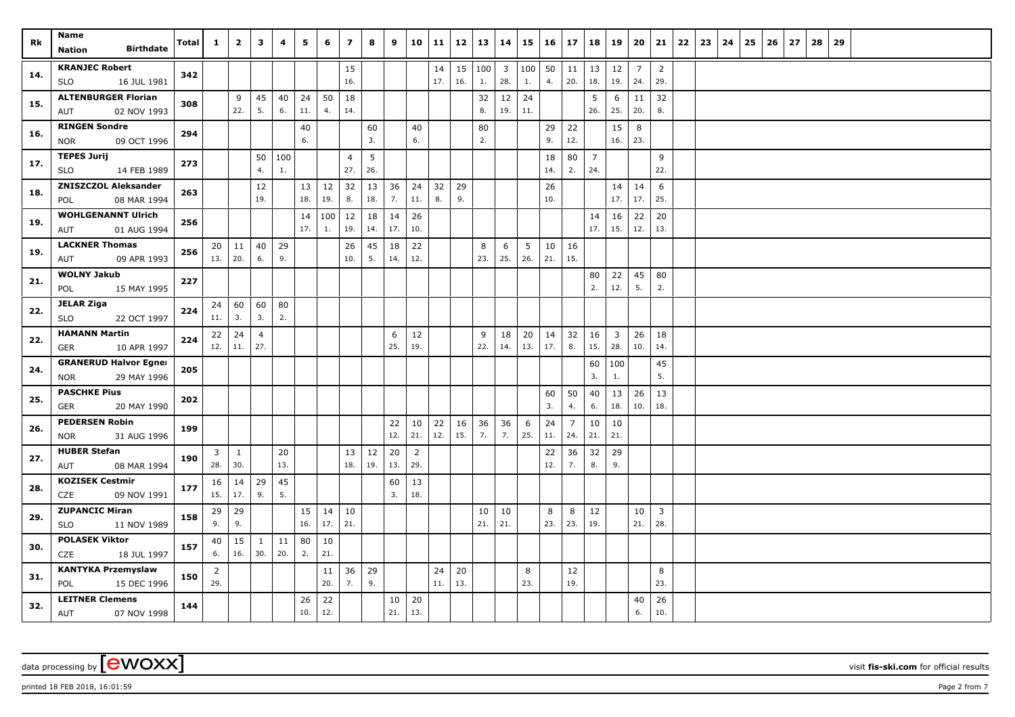| Rk  | Name<br><b>Birthdate</b><br>Nation                 | Total | $\mathbf{1}$        | $\overline{2}$      | 3                   | 4         | 5         | 6         | $\overline{\mathbf{z}}$ | 8         | 9         | 10                    | 11        | 12        | 13        | 14                    | 15             | 16        | 17        | 18             | 19                      | 20                    | 21                    | 22 | 23 | 24 | 25 | 26 | 27 | 28 | 29 |  |  |  |
|-----|----------------------------------------------------|-------|---------------------|---------------------|---------------------|-----------|-----------|-----------|-------------------------|-----------|-----------|-----------------------|-----------|-----------|-----------|-----------------------|----------------|-----------|-----------|----------------|-------------------------|-----------------------|-----------------------|----|----|----|----|----|----|----|----|--|--|--|
|     |                                                    |       |                     |                     |                     |           |           |           |                         |           |           |                       |           |           |           |                       |                |           |           |                |                         |                       |                       |    |    |    |    |    |    |    |    |  |  |  |
| 14. | <b>KRANJEC Robert</b><br><b>SLO</b><br>16 JUL 1981 | 342   |                     |                     |                     |           |           |           | 15<br>16.               |           |           |                       | 14<br>17. | 15<br>16. | 100<br>1. | $\overline{3}$<br>28. | $100$ 50<br>1. | 4.        | 11<br>20. | 13<br>18.      | 12<br>19.               | $\overline{7}$<br>24. | $\overline{2}$<br>29. |    |    |    |    |    |    |    |    |  |  |  |
|     | <b>ALTENBURGER Florian</b>                         |       |                     |                     |                     |           |           |           |                         |           |           |                       |           |           |           |                       |                |           |           |                |                         |                       |                       |    |    |    |    |    |    |    |    |  |  |  |
| 15. | 02 NOV 1993<br>AUT                                 | 308   |                     | 9<br>22.            | 45<br>5.            | 40<br>6.  | 24<br>11. | 50<br>4.  | 18<br>14.               |           |           |                       |           |           | 32<br>8.  | 12<br>19.             | 24<br>11.      |           |           | 5<br>26.       | 6<br>25.                | 11<br>20.             | 32<br>8.              |    |    |    |    |    |    |    |    |  |  |  |
|     | <b>RINGEN Sondre</b>                               |       |                     |                     |                     |           | 40        |           |                         | 60        |           | 40                    |           |           | 80        |                       |                | 29        |           |                | 15                      | 8                     |                       |    |    |    |    |    |    |    |    |  |  |  |
| 16. | <b>NOR</b><br>09 OCT 1996                          | 294   |                     |                     |                     |           | 6.        |           |                         | 3.        |           | 6.                    |           |           | 2.        |                       |                | 9.        | 22<br>12. |                | 16.                     | 23.                   |                       |    |    |    |    |    |    |    |    |  |  |  |
|     | <b>TEPES Jurij</b>                                 |       |                     |                     | 50                  | 100       |           |           | $\overline{4}$          | 5         |           |                       |           |           |           |                       |                | 18        | 80        | $\overline{7}$ |                         |                       | 9                     |    |    |    |    |    |    |    |    |  |  |  |
| 17. | 14 FEB 1989<br><b>SLO</b>                          | 273   |                     |                     | 4.                  | 1.        |           |           | 27.                     | 26.       |           |                       |           |           |           |                       |                | 14.       | 2.        | 24.            |                         |                       | 22.                   |    |    |    |    |    |    |    |    |  |  |  |
| 18. | <b>ZNISZCZOL Aleksander</b>                        | 263   |                     |                     | 12                  |           | 13        | 12        | 32                      | 13        | 36        | 24                    | 32        | 29        |           |                       |                | 26        |           |                | 14                      | 14                    | 6                     |    |    |    |    |    |    |    |    |  |  |  |
|     | 08 MAR 1994<br>POL                                 |       |                     |                     | 19.                 |           | 18.       | 19.       | 8.                      | 18.       | 7.        | 11.                   | 8.        | 9.        |           |                       |                | 10.       |           |                | 17.                     | 17.                   | 25.                   |    |    |    |    |    |    |    |    |  |  |  |
| 19. | <b>WOHLGENANNT Ulrich</b>                          | 256   |                     |                     |                     |           | 14        | 100       | 12                      | 18        | 14        | 26                    |           |           |           |                       |                |           |           | 14             | 16                      | 22                    | 20                    |    |    |    |    |    |    |    |    |  |  |  |
|     | 01 AUG 1994<br>AUT                                 |       |                     |                     |                     |           | 17.       | 1.        | 19.                     | 14.       | 17.       | 10.                   |           |           |           |                       |                |           |           | 17.            | 15.                     | 12.                   | 13.                   |    |    |    |    |    |    |    |    |  |  |  |
| 19. | <b>LACKNER Thomas</b>                              | 256   |                     | $20 \mid 11$        | 40                  | 29        |           |           | 26                      | 45        | 18        | 22                    |           |           | 8         | 6                     | 5              | 10        | 16        |                |                         |                       |                       |    |    |    |    |    |    |    |    |  |  |  |
|     | 09 APR 1993<br>AUT                                 |       | 13.   20.           |                     | 6.                  | 9.        |           |           | 10.                     | 5.        | 14.       | 12.                   |           |           | 23.       | 25.                   | 26.            | 21.       | 15.       |                |                         |                       |                       |    |    |    |    |    |    |    |    |  |  |  |
| 21. | <b>WOLNY Jakub</b>                                 | 227   |                     |                     |                     |           |           |           |                         |           |           |                       |           |           |           |                       |                |           |           | 80             | 22                      | 45                    | 80                    |    |    |    |    |    |    |    |    |  |  |  |
|     | POL<br>15 MAY 1995                                 |       |                     |                     |                     |           |           |           |                         |           |           |                       |           |           |           |                       |                |           |           | 2.             | 12.                     | 5.                    | 2.                    |    |    |    |    |    |    |    |    |  |  |  |
| 22. | <b>JELAR Ziga</b>                                  | 224   | 24                  | 60                  | 60                  | 80        |           |           |                         |           |           |                       |           |           |           |                       |                |           |           |                |                         |                       |                       |    |    |    |    |    |    |    |    |  |  |  |
|     | <b>SLO</b><br>22 OCT 1997                          |       | 11.                 | 3.                  | 3.                  | 2.        |           |           |                         |           |           |                       |           |           |           |                       |                |           |           |                |                         |                       |                       |    |    |    |    |    |    |    |    |  |  |  |
| 22. | <b>HAMANN Martin</b>                               | 224   |                     | $22 \mid 24$        | $\overline{4}$      |           |           |           |                         |           | 6         | 12                    |           |           | 9         | 18                    | 20             | 14        | 32        | 16             | $\overline{\mathbf{3}}$ | 26                    | 18                    |    |    |    |    |    |    |    |    |  |  |  |
|     | <b>GER</b><br>10 APR 1997                          |       | 12.                 | 11.                 | 27.                 |           |           |           |                         |           | 25.       | 19.                   |           |           | 22.       | 14.                   | 13.            | 17.       | 8.        | 15.            | 28.                     | 10.                   | 14.                   |    |    |    |    |    |    |    |    |  |  |  |
| 24. | <b>GRANERUD Halvor Egner</b>                       | 205   |                     |                     |                     |           |           |           |                         |           |           |                       |           |           |           |                       |                |           |           | 60             | 100                     |                       | 45                    |    |    |    |    |    |    |    |    |  |  |  |
|     | <b>NOR</b><br>29 MAY 1996                          |       |                     |                     |                     |           |           |           |                         |           |           |                       |           |           |           |                       |                |           |           | 3.             | 1.                      |                       | 5.                    |    |    |    |    |    |    |    |    |  |  |  |
| 25. | <b>PASCHKE Pius</b>                                | 202   |                     |                     |                     |           |           |           |                         |           |           |                       |           |           |           |                       |                | 60        | 50        | 40             | 13                      | 26                    | 13                    |    |    |    |    |    |    |    |    |  |  |  |
|     | GER<br>20 MAY 1990                                 |       |                     |                     |                     |           |           |           |                         |           |           |                       |           |           |           |                       |                | 3.        | 4.        | 6.             | 18.                     | 10.                   | 18.                   |    |    |    |    |    |    |    |    |  |  |  |
| 26. | <b>PEDERSEN Robin</b>                              | 199   |                     |                     |                     |           |           |           |                         |           | 22<br>12. | 10<br>21.             | 22<br>12. | 16<br>15. | 36<br>7.  | 36<br>7.              | 6<br>25.       | 24        | 7         | 10             | 10<br>21.               |                       |                       |    |    |    |    |    |    |    |    |  |  |  |
|     | 31 AUG 1996<br><b>NOR</b>                          |       |                     |                     |                     |           |           |           |                         |           |           |                       |           |           |           |                       |                | 11.       | 24.       | 21.            |                         |                       |                       |    |    |    |    |    |    |    |    |  |  |  |
| 27. | <b>HUBER Stefan</b><br>08 MAR 1994<br>AUT          | 190   | $\mathbf{3}$<br>28. | $\mathbf{1}$<br>30. |                     | 20<br>13. |           |           | 13<br>18.               | 12<br>19. | 20<br>13. | $\overline{2}$<br>29. |           |           |           |                       |                | 22<br>12. | 36<br>7.  | 32<br>8.       | 29<br>9.                |                       |                       |    |    |    |    |    |    |    |    |  |  |  |
|     | <b>KOZISEK Cestmir</b>                             |       |                     |                     |                     |           |           |           |                         |           |           |                       |           |           |           |                       |                |           |           |                |                         |                       |                       |    |    |    |    |    |    |    |    |  |  |  |
| 28. | CZE<br>09 NOV 1991                                 | 177   | 16<br>15.           | 14<br>17.           | 29<br>9.            | 45<br>5.  |           |           |                         |           | 60<br>3.  | 13<br>18.             |           |           |           |                       |                |           |           |                |                         |                       |                       |    |    |    |    |    |    |    |    |  |  |  |
|     | <b>ZUPANCIC Miran</b>                              |       |                     |                     |                     |           |           |           |                         |           |           |                       |           |           |           |                       |                |           |           |                |                         |                       |                       |    |    |    |    |    |    |    |    |  |  |  |
| 29. | 11 NOV 1989<br><b>SLO</b>                          | 158   | 29<br>9.            | 29<br>9.            |                     |           | 15<br>16. | 14<br>17. | 10<br>21.               |           |           |                       |           |           | 10<br>21. | 10<br>21.             |                | 8<br>23.  | 8<br>23.  | 12<br>19.      |                         | 10<br>21.             | $\overline{3}$<br>28. |    |    |    |    |    |    |    |    |  |  |  |
|     | <b>POLASEK Viktor</b>                              |       |                     |                     |                     |           |           |           |                         |           |           |                       |           |           |           |                       |                |           |           |                |                         |                       |                       |    |    |    |    |    |    |    |    |  |  |  |
| 30. | CZE<br>18 JUL 1997                                 | 157   | 40<br>6.            | 15<br>16.           | $\mathbf{1}$<br>30. | 11<br>20. | 80<br>2.  | 10<br>21. |                         |           |           |                       |           |           |           |                       |                |           |           |                |                         |                       |                       |    |    |    |    |    |    |    |    |  |  |  |
|     | <b>KANTYKA Przemyslaw</b>                          |       | 2                   |                     |                     |           |           | 11        | 36                      | 29        |           |                       | 24        | 20        |           |                       | 8              |           | 12        |                |                         |                       | 8                     |    |    |    |    |    |    |    |    |  |  |  |
| 31. | POL<br>15 DEC 1996                                 | 150   | 29.                 |                     |                     |           |           | 20.       | 7.                      | 9.        |           |                       | 11.       | 13.       |           |                       | 23.            |           | 19.       |                |                         |                       | 23.                   |    |    |    |    |    |    |    |    |  |  |  |
|     | <b>LEITNER Clemens</b>                             |       |                     |                     |                     |           | 26        | 22        |                         |           | 10        | 20                    |           |           |           |                       |                |           |           |                |                         | 40                    | 26                    |    |    |    |    |    |    |    |    |  |  |  |
| 32. | AUT<br>07 NOV 1998                                 | 144   |                     |                     |                     |           | 10.       | 12.       |                         |           | 21.       | 13.                   |           |           |           |                       |                |           |           |                |                         | 6.                    | 10.                   |    |    |    |    |    |    |    |    |  |  |  |

printed 18 FEB 2018, 16:01:59 **Page 2** from 7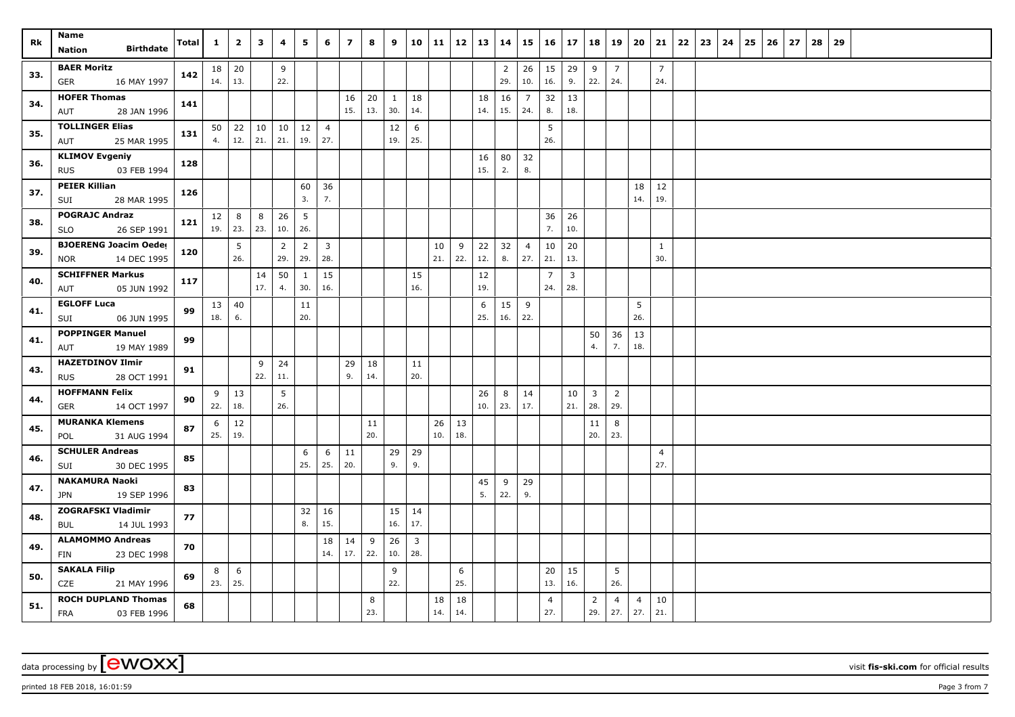| Rk  | Name<br><b>Birthdate</b><br><b>Nation</b>                 | Total | $\mathbf{1}$    | $\overline{2}$      | 3         | 4                     | 5                     | 6                     | $\overline{\mathbf{z}}$ | 8         | 9                   | 10 11                 |           | 12        | 13        | 14                    | 15                    | 16                    | $\begin{array}{c} 17 \end{array}$ | 18                    | 19                    | 20                    | 21                    | 22 | 23 | 24 | 25 | 26 | 27 | 28 | 29 |  |  |  |  |
|-----|-----------------------------------------------------------|-------|-----------------|---------------------|-----------|-----------------------|-----------------------|-----------------------|-------------------------|-----------|---------------------|-----------------------|-----------|-----------|-----------|-----------------------|-----------------------|-----------------------|-----------------------------------|-----------------------|-----------------------|-----------------------|-----------------------|----|----|----|----|----|----|----|----|--|--|--|--|
| 33. | <b>BAER Moritz</b><br><b>GER</b><br>16 MAY 1997           | 142   | $18$ 20<br>14.  | 13.                 |           | 9<br>22.              |                       |                       |                         |           |                     |                       |           |           |           | $\overline{2}$<br>29. | 26<br>10.             | 15<br>16.             | 29<br>9.                          | 9<br>22.              | $\overline{7}$<br>24. |                       | $\overline{7}$<br>24. |    |    |    |    |    |    |    |    |  |  |  |  |
| 34. | <b>HOFER Thomas</b><br>28 JAN 1996<br>AUT                 | 141   |                 |                     |           |                       |                       |                       | 16<br>15.               | 20<br>13. | $\mathbf{1}$<br>30. | 18<br>14.             |           |           | 18<br>14. | 16<br>15.             | $\overline{7}$<br>24. | 32<br>8.              | 13<br>18.                         |                       |                       |                       |                       |    |    |    |    |    |    |    |    |  |  |  |  |
| 35. | <b>TOLLINGER Elias</b><br>25 MAR 1995<br>AUT              | 131   | 4.              | $50 \mid 22$<br>12. | 10<br>21. | 10<br>21.             | 12<br>19.             | $\overline{4}$<br>27. |                         |           | 12<br>19.           | 6<br>25.              |           |           |           |                       |                       | 5<br>26.              |                                   |                       |                       |                       |                       |    |    |    |    |    |    |    |    |  |  |  |  |
| 36. | <b>KLIMOV Evgeniy</b><br>03 FEB 1994<br><b>RUS</b>        | 128   |                 |                     |           |                       |                       |                       |                         |           |                     |                       |           |           | 16<br>15. | 80<br>2.              | 32<br>8.              |                       |                                   |                       |                       |                       |                       |    |    |    |    |    |    |    |    |  |  |  |  |
| 37. | <b>PEIER Killian</b><br>28 MAR 1995<br>SUI                | 126   |                 |                     |           |                       | 60<br>3.              | 36<br>7.              |                         |           |                     |                       |           |           |           |                       |                       |                       |                                   |                       |                       | 18<br>14.             | 12<br>19.             |    |    |    |    |    |    |    |    |  |  |  |  |
| 38. | <b>POGRAJC Andraz</b><br>26 SEP 1991<br>SLO               | 121   | 12<br>$19.$ 23. | 8                   | 8<br>23.  | 26<br>10.             | 5<br>26.              |                       |                         |           |                     |                       |           |           |           |                       |                       | 36<br>7.              | 26<br>10.                         |                       |                       |                       |                       |    |    |    |    |    |    |    |    |  |  |  |  |
| 39. | <b>BJOERENG Joacim Oeder</b><br>14 DEC 1995<br><b>NOR</b> | 120   |                 | 5<br>26.            |           | $\overline{2}$<br>29. | $\overline{2}$<br>29. | $\overline{3}$<br>28. |                         |           |                     |                       | 10<br>21. | 9<br>22.  | 22<br>12. | 32<br>8.              | $\overline{4}$<br>27. | 10<br>21.             | 20<br>13.                         |                       |                       |                       | $\mathbf{1}$<br>30.   |    |    |    |    |    |    |    |    |  |  |  |  |
| 40. | <b>SCHIFFNER Markus</b><br>05 JUN 1992<br>AUT             | 117   |                 |                     | 14<br>17. | 50<br>4.              | 1<br>30.              | 15<br>16.             |                         |           |                     | 15<br>16.             |           |           | 12<br>19. |                       |                       | $\overline{7}$<br>24. | $\mathbf{3}$<br>28.               |                       |                       |                       |                       |    |    |    |    |    |    |    |    |  |  |  |  |
| 41. | <b>EGLOFF Luca</b><br>SUI<br>06 JUN 1995                  | 99    | 13 <br>18.      | 40<br>6.            |           |                       | 11<br>20.             |                       |                         |           |                     |                       |           |           | 6<br>25.  | 15<br>16.             | 9<br>22.              |                       |                                   |                       |                       | 5<br>26.              |                       |    |    |    |    |    |    |    |    |  |  |  |  |
| 41. | <b>POPPINGER Manuel</b><br>19 MAY 1989<br>AUT             | 99    |                 |                     |           |                       |                       |                       |                         |           |                     |                       |           |           |           |                       |                       |                       |                                   | 50<br>4.              | 36<br>7.              | 13<br>18.             |                       |    |    |    |    |    |    |    |    |  |  |  |  |
| 43. | <b>HAZETDINOV Ilmir</b><br>28 OCT 1991<br><b>RUS</b>      | 91    |                 |                     | 9<br>22.  | 24<br>11.             |                       |                       | 29<br>9.                | 18<br>14. |                     | 11<br>20.             |           |           |           |                       |                       |                       |                                   |                       |                       |                       |                       |    |    |    |    |    |    |    |    |  |  |  |  |
| 44. | <b>HOFFMANN Felix</b><br><b>GER</b><br>14 OCT 1997        | 90    | 9<br>22.        | $\vert$ 13<br>18.   |           | 5<br>26.              |                       |                       |                         |           |                     |                       |           |           | 26<br>10. | 8<br>23.              | 14<br>17.             |                       | 10<br>21.                         | $\mathbf{3}$<br>28.   | $\overline{2}$<br>29. |                       |                       |    |    |    |    |    |    |    |    |  |  |  |  |
| 45. | <b>MURANKA Klemens</b><br>31 AUG 1994<br>POL              | 87    | 6<br>25.        | 12<br>19.           |           |                       |                       |                       |                         | 11<br>20. |                     |                       | 26<br>10. | 13<br>18. |           |                       |                       |                       |                                   | 11<br>20.             | 8<br>23.              |                       |                       |    |    |    |    |    |    |    |    |  |  |  |  |
| 46. | <b>SCHULER Andreas</b><br>30 DEC 1995<br>SUI              | 85    |                 |                     |           |                       | 6<br>25.              | 6<br>25.              | 11<br>20.               |           | 29<br>9.            | 29<br>9.              |           |           |           |                       |                       |                       |                                   |                       |                       |                       | $\overline{4}$<br>27. |    |    |    |    |    |    |    |    |  |  |  |  |
| 47. | <b>NAKAMURA Naoki</b><br>19 SEP 1996<br>JPN               | 83    |                 |                     |           |                       |                       |                       |                         |           |                     |                       |           |           | 45<br>5.  | 9<br>22.              | 29<br>9.              |                       |                                   |                       |                       |                       |                       |    |    |    |    |    |    |    |    |  |  |  |  |
| 48. | <b>ZOGRAFSKI Vladimir</b><br>14 JUL 1993<br><b>BUL</b>    | 77    |                 |                     |           |                       | 32<br>8.              | 16<br>15.             |                         |           | 15<br>16.           | 14<br>17.             |           |           |           |                       |                       |                       |                                   |                       |                       |                       |                       |    |    |    |    |    |    |    |    |  |  |  |  |
| 49. | <b>ALAMOMMO Andreas</b><br>23 DEC 1998<br><b>FIN</b>      | 70    |                 |                     |           |                       |                       | 18<br>14.             | 14<br>17.               | 9<br>22.  | 26<br>10.           | $\overline{3}$<br>28. |           |           |           |                       |                       |                       |                                   |                       |                       |                       |                       |    |    |    |    |    |    |    |    |  |  |  |  |
| 50. | <b>SAKALA Filip</b><br>CZE<br>21 MAY 1996                 | 69    | 8<br>23.        | 6<br>25.            |           |                       |                       |                       |                         |           | 9<br>22.            |                       |           | 6<br>25.  |           |                       |                       | 20<br>13.             | 15<br>16.                         |                       | 5<br>26.              |                       |                       |    |    |    |    |    |    |    |    |  |  |  |  |
| 51. | <b>ROCH DUPLAND Thomas</b><br>FRA<br>03 FEB 1996          | 68    |                 |                     |           |                       |                       |                       |                         | 8<br>23.  |                     |                       | 18<br>14. | 18<br>14. |           |                       |                       | $\overline{4}$<br>27. |                                   | $\overline{2}$<br>29. | $\overline{4}$<br>27. | $\overline{4}$<br>27. | 10<br>21.             |    |    |    |    |    |    |    |    |  |  |  |  |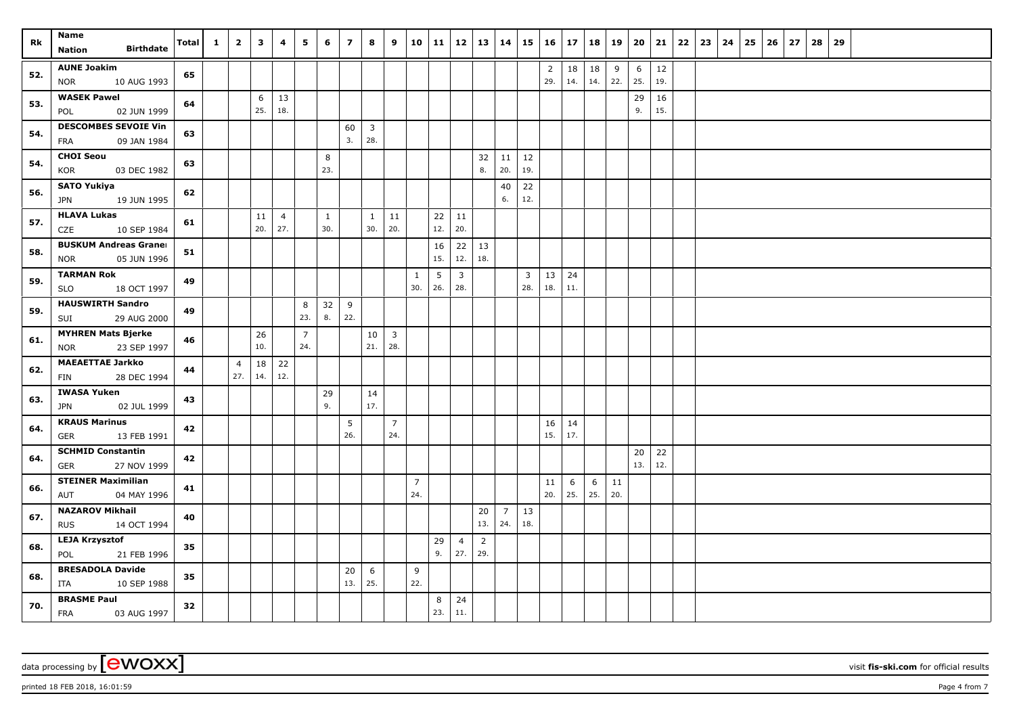| Rk  | Name                                                 | <b>Total</b> | $\mathbf{1}$ | $\overline{2}$        | $\mathbf{3}$ | 4                     | 5              | 6                   | $\overline{7}$ | 8                   | 9              |                | 10 11     |                         | $12 \mid 13 \mid$     | 14                    | 15             | $16 \mid 17$   |     | 18  | 19  | 20       | 21        | 22 | 23 | $24 \mid 25$ | 26 | 27 | 28 | 29 |  |  |  |
|-----|------------------------------------------------------|--------------|--------------|-----------------------|--------------|-----------------------|----------------|---------------------|----------------|---------------------|----------------|----------------|-----------|-------------------------|-----------------------|-----------------------|----------------|----------------|-----|-----|-----|----------|-----------|----|----|--------------|----|----|----|----|--|--|--|
|     | <b>Birthdate</b><br>Nation                           |              |              |                       |              |                       |                |                     |                |                     |                |                |           |                         |                       |                       |                |                |     |     |     |          |           |    |    |              |    |    |    |    |  |  |  |
| 52. | <b>AUNE Joakim</b>                                   | 65           |              |                       |              |                       |                |                     |                |                     |                |                |           |                         |                       |                       |                | $\overline{2}$ | 18  | 18  | 9   | 6        | $12\,$    |    |    |              |    |    |    |    |  |  |  |
|     | <b>NOR</b><br>10 AUG 1993                            |              |              |                       |              |                       |                |                     |                |                     |                |                |           |                         |                       |                       |                | 29.            | 14. | 14. | 22. | 25.      | 19.       |    |    |              |    |    |    |    |  |  |  |
| 53. | <b>WASEK Pawel</b><br>POL<br>02 JUN 1999             | 64           |              |                       | 6<br>25.     | 13<br>18.             |                |                     |                |                     |                |                |           |                         |                       |                       |                |                |     |     |     | 29<br>9. | 16<br>15. |    |    |              |    |    |    |    |  |  |  |
|     | <b>DESCOMBES SEVOIE Vin</b>                          |              |              |                       |              |                       |                |                     | 60             | $\overline{3}$      |                |                |           |                         |                       |                       |                |                |     |     |     |          |           |    |    |              |    |    |    |    |  |  |  |
| 54. | <b>FRA</b><br>09 JAN 1984                            | 63           |              |                       |              |                       |                |                     | 3.             | 28.                 |                |                |           |                         |                       |                       |                |                |     |     |     |          |           |    |    |              |    |    |    |    |  |  |  |
| 54. | <b>CHOI Seou</b>                                     | 63           |              |                       |              |                       |                | 8                   |                |                     |                |                |           |                         | 32                    | 11                    | 12             |                |     |     |     |          |           |    |    |              |    |    |    |    |  |  |  |
|     | KOR<br>03 DEC 1982                                   |              |              |                       |              |                       |                | 23.                 |                |                     |                |                |           |                         | 8.                    | 20.                   | 19.            |                |     |     |     |          |           |    |    |              |    |    |    |    |  |  |  |
| 56. | <b>SATO Yukiya</b>                                   | 62           |              |                       |              |                       |                |                     |                |                     |                |                |           |                         |                       | 40                    | 22             |                |     |     |     |          |           |    |    |              |    |    |    |    |  |  |  |
|     | 19 JUN 1995<br><b>JPN</b>                            |              |              |                       |              |                       |                |                     |                |                     |                |                |           |                         |                       | 6.                    | 12.            |                |     |     |     |          |           |    |    |              |    |    |    |    |  |  |  |
| 57. | <b>HLAVA Lukas</b><br>CZE<br>10 SEP 1984             | 61           |              |                       | 11<br>20.    | $\overline{4}$<br>27. |                | $\mathbf{1}$<br>30. |                | $\mathbf{1}$<br>30. | 11<br>20.      |                | 22<br>12. | 11<br>20.               |                       |                       |                |                |     |     |     |          |           |    |    |              |    |    |    |    |  |  |  |
|     | <b>BUSKUM Andreas Granel</b>                         |              |              |                       |              |                       |                |                     |                |                     |                |                | 16        | 22                      | 13                    |                       |                |                |     |     |     |          |           |    |    |              |    |    |    |    |  |  |  |
| 58. | 05 JUN 1996<br><b>NOR</b>                            | 51           |              |                       |              |                       |                |                     |                |                     |                |                | 15.       | 12.                     | 18.                   |                       |                |                |     |     |     |          |           |    |    |              |    |    |    |    |  |  |  |
|     | <b>TARMAN Rok</b>                                    |              |              |                       |              |                       |                |                     |                |                     |                | $\mathbf{1}$   | 5         | $\overline{\mathbf{3}}$ |                       |                       | $\overline{3}$ | 13             | 24  |     |     |          |           |    |    |              |    |    |    |    |  |  |  |
| 59. | 18 OCT 1997<br>SLO                                   | 49           |              |                       |              |                       |                |                     |                |                     |                | 30.            | 26.       | 28.                     |                       |                       | 28.            | 18.            | 11. |     |     |          |           |    |    |              |    |    |    |    |  |  |  |
| 59. | <b>HAUSWIRTH Sandro</b>                              | 49           |              |                       |              |                       | 8              | 32                  | 9              |                     |                |                |           |                         |                       |                       |                |                |     |     |     |          |           |    |    |              |    |    |    |    |  |  |  |
|     | 29 AUG 2000<br>SUI                                   |              |              |                       |              |                       | 23.            | 8.                  | 22.            |                     |                |                |           |                         |                       |                       |                |                |     |     |     |          |           |    |    |              |    |    |    |    |  |  |  |
| 61. | <b>MYHREN Mats Bjerke</b>                            | 46           |              |                       | 26           |                       | $\overline{7}$ |                     |                | 10                  | $\overline{3}$ |                |           |                         |                       |                       |                |                |     |     |     |          |           |    |    |              |    |    |    |    |  |  |  |
|     | 23 SEP 1997<br><b>NOR</b>                            |              |              |                       | 10.          |                       | 24.            |                     |                | 21.                 | 28.            |                |           |                         |                       |                       |                |                |     |     |     |          |           |    |    |              |    |    |    |    |  |  |  |
| 62. | <b>MAEAETTAE Jarkko</b><br><b>FIN</b><br>28 DEC 1994 | 44           |              | $\overline{4}$<br>27. | 18<br>14.    | 22<br>12.             |                |                     |                |                     |                |                |           |                         |                       |                       |                |                |     |     |     |          |           |    |    |              |    |    |    |    |  |  |  |
|     | <b>IWASA Yuken</b>                                   |              |              |                       |              |                       |                | 29                  |                | 14                  |                |                |           |                         |                       |                       |                |                |     |     |     |          |           |    |    |              |    |    |    |    |  |  |  |
| 63. | 02 JUL 1999<br>JPN                                   | 43           |              |                       |              |                       |                | 9.                  |                | 17.                 |                |                |           |                         |                       |                       |                |                |     |     |     |          |           |    |    |              |    |    |    |    |  |  |  |
|     | <b>KRAUS Marinus</b>                                 |              |              |                       |              |                       |                |                     | 5              |                     | $\overline{7}$ |                |           |                         |                       |                       |                | $16 \mid 14$   |     |     |     |          |           |    |    |              |    |    |    |    |  |  |  |
| 64. | <b>GER</b><br>13 FEB 1991                            | 42           |              |                       |              |                       |                |                     | 26.            |                     | 24.            |                |           |                         |                       |                       |                | 15.            | 17. |     |     |          |           |    |    |              |    |    |    |    |  |  |  |
| 64. | <b>SCHMID Constantin</b>                             | 42           |              |                       |              |                       |                |                     |                |                     |                |                |           |                         |                       |                       |                |                |     |     |     | 20       | 22        |    |    |              |    |    |    |    |  |  |  |
|     | 27 NOV 1999<br><b>GER</b>                            |              |              |                       |              |                       |                |                     |                |                     |                |                |           |                         |                       |                       |                |                |     |     |     | 13.      | 12.       |    |    |              |    |    |    |    |  |  |  |
| 66. | <b>STEINER Maximilian</b>                            | 41           |              |                       |              |                       |                |                     |                |                     |                | $\overline{7}$ |           |                         |                       |                       |                | 11             | 6   | 6   | 11  |          |           |    |    |              |    |    |    |    |  |  |  |
|     | 04 MAY 1996<br>AUT                                   |              |              |                       |              |                       |                |                     |                |                     |                | 24.            |           |                         |                       |                       |                | 20.            | 25. | 25. | 20. |          |           |    |    |              |    |    |    |    |  |  |  |
| 67. | <b>NAZAROV Mikhail</b><br>14 OCT 1994                | 40           |              |                       |              |                       |                |                     |                |                     |                |                |           |                         | 20<br>13.             | $\overline{7}$<br>24. | 13<br>18.      |                |     |     |     |          |           |    |    |              |    |    |    |    |  |  |  |
|     | <b>RUS</b><br><b>LEJA Krzysztof</b>                  |              |              |                       |              |                       |                |                     |                |                     |                |                |           |                         |                       |                       |                |                |     |     |     |          |           |    |    |              |    |    |    |    |  |  |  |
| 68. | 21 FEB 1996<br>POL                                   | 35           |              |                       |              |                       |                |                     |                |                     |                |                | 29<br>9.  | $\overline{4}$<br>27.   | $\overline{2}$<br>29. |                       |                |                |     |     |     |          |           |    |    |              |    |    |    |    |  |  |  |
|     | <b>BRESADOLA Davide</b>                              |              |              |                       |              |                       |                |                     | 20             | 6                   |                | 9              |           |                         |                       |                       |                |                |     |     |     |          |           |    |    |              |    |    |    |    |  |  |  |
| 68. | ITA<br>10 SEP 1988                                   | 35           |              |                       |              |                       |                |                     | 13.            | 25.                 |                | 22.            |           |                         |                       |                       |                |                |     |     |     |          |           |    |    |              |    |    |    |    |  |  |  |
| 70. | <b>BRASME Paul</b>                                   |              |              |                       |              |                       |                |                     |                |                     |                |                | 8         | 24                      |                       |                       |                |                |     |     |     |          |           |    |    |              |    |    |    |    |  |  |  |
|     | <b>FRA</b><br>03 AUG 1997                            | 32           |              |                       |              |                       |                |                     |                |                     |                |                | 23.       | 11.                     |                       |                       |                |                |     |     |     |          |           |    |    |              |    |    |    |    |  |  |  |

printed 18 FEB 2018, 16:01:59 **Page 4 from 7** Page 4 from 7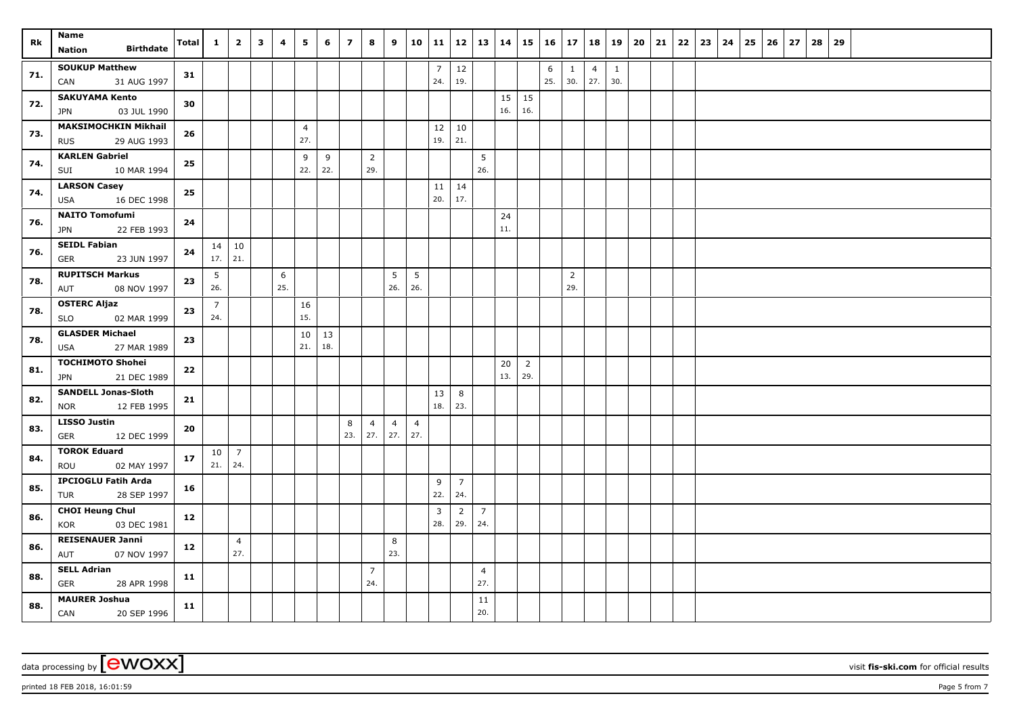| Rk  | Name<br><b>Birthdate</b><br>Nation                       | <b>Total</b> | $\mathbf{1}$             | $\overline{2}$        | $\overline{\mathbf{3}}$ | 4        | 5                     | 6         | $\overline{7}$ | 8                     | 9                           | $10 \mid 11$          |                       |                       | $12 \mid 13 \mid$     | 14        |                       | $15 \mid 16 \mid 17$ |                       | 18                    | 19                  | 20 | 21 | 22 | 23 | 24 | 25 | 26 | 27 | 28 | 29 |  |  |  |
|-----|----------------------------------------------------------|--------------|--------------------------|-----------------------|-------------------------|----------|-----------------------|-----------|----------------|-----------------------|-----------------------------|-----------------------|-----------------------|-----------------------|-----------------------|-----------|-----------------------|----------------------|-----------------------|-----------------------|---------------------|----|----|----|----|----|----|----|----|----|----|--|--|--|
| 71. | <b>SOUKUP Matthew</b><br>31 AUG 1997<br>CAN              | 31           |                          |                       |                         |          |                       |           |                |                       |                             |                       | 7 <sup>7</sup><br>24. | 12<br>19.             |                       |           |                       | 6<br>25.             | $\mathbf{1}$<br>30.   | $\overline{4}$<br>27. | $\mathbf{1}$<br>30. |    |    |    |    |    |    |    |    |    |    |  |  |  |
| 72. | <b>SAKUYAMA Kento</b><br>03 JUL 1990<br><b>JPN</b>       | 30           |                          |                       |                         |          |                       |           |                |                       |                             |                       |                       |                       |                       | 15<br>16. | 15<br>16.             |                      |                       |                       |                     |    |    |    |    |    |    |    |    |    |    |  |  |  |
| 73. | <b>MAKSIMOCHKIN Mikhail</b><br>29 AUG 1993<br><b>RUS</b> | 26           |                          |                       |                         |          | $\overline{4}$<br>27. |           |                |                       |                             |                       | 12<br>19.             | 10<br>21.             |                       |           |                       |                      |                       |                       |                     |    |    |    |    |    |    |    |    |    |    |  |  |  |
| 74. | <b>KARLEN Gabriel</b><br>10 MAR 1994<br>SUI              | 25           |                          |                       |                         |          | 9<br>22.              | 9<br>22.  |                | $\overline{2}$<br>29. |                             |                       |                       |                       | 5<br>26.              |           |                       |                      |                       |                       |                     |    |    |    |    |    |    |    |    |    |    |  |  |  |
| 74. | <b>LARSON Casey</b><br>16 DEC 1998<br>USA                | 25           |                          |                       |                         |          |                       |           |                |                       |                             |                       | 11<br>20.             | 14<br>17.             |                       |           |                       |                      |                       |                       |                     |    |    |    |    |    |    |    |    |    |    |  |  |  |
| 76. | <b>NAITO Tomofumi</b><br>22 FEB 1993<br><b>JPN</b>       | 24           |                          |                       |                         |          |                       |           |                |                       |                             |                       |                       |                       |                       | 24<br>11. |                       |                      |                       |                       |                     |    |    |    |    |    |    |    |    |    |    |  |  |  |
| 76. | <b>SEIDL Fabian</b><br>23 JUN 1997<br><b>GER</b>         | 24           | $17.$ 21.                | $14 \mid 10$          |                         |          |                       |           |                |                       |                             |                       |                       |                       |                       |           |                       |                      |                       |                       |                     |    |    |    |    |    |    |    |    |    |    |  |  |  |
| 78. | <b>RUPITSCH Markus</b><br>08 NOV 1997<br>AUT             | 23           | 5<br>26.                 |                       |                         | 6<br>25. |                       |           |                |                       | $5\phantom{.0}$<br>26.      | 5<br>26.              |                       |                       |                       |           |                       |                      | $\overline{2}$<br>29. |                       |                     |    |    |    |    |    |    |    |    |    |    |  |  |  |
| 78. | <b>OSTERC Aljaz</b><br><b>SLO</b><br>02 MAR 1999         | 23           | $\overline{7}$<br>24.    |                       |                         |          | 16<br>15.             |           |                |                       |                             |                       |                       |                       |                       |           |                       |                      |                       |                       |                     |    |    |    |    |    |    |    |    |    |    |  |  |  |
| 78. | <b>GLASDER Michael</b><br>27 MAR 1989<br>USA             | 23           |                          |                       |                         |          | 10<br>21.             | 13<br>18. |                |                       |                             |                       |                       |                       |                       |           |                       |                      |                       |                       |                     |    |    |    |    |    |    |    |    |    |    |  |  |  |
| 81. | <b>TOCHIMOTO Shohei</b><br><b>JPN</b><br>21 DEC 1989     | 22           |                          |                       |                         |          |                       |           |                |                       |                             |                       |                       |                       |                       | 20<br>13. | $\overline{2}$<br>29. |                      |                       |                       |                     |    |    |    |    |    |    |    |    |    |    |  |  |  |
| 82. | <b>SANDELL Jonas-Sloth</b><br>12 FEB 1995<br><b>NOR</b>  | 21           |                          |                       |                         |          |                       |           |                |                       |                             |                       | 13<br>18.             | 8<br>23.              |                       |           |                       |                      |                       |                       |                     |    |    |    |    |    |    |    |    |    |    |  |  |  |
| 83. | <b>LISSO Justin</b><br>12 DEC 1999<br><b>GER</b>         | 20           |                          |                       |                         |          |                       |           | 8<br>23.       | $\overline{4}$        | $\overline{4}$<br>$27.$ 27. | $\overline{4}$<br>27. |                       |                       |                       |           |                       |                      |                       |                       |                     |    |    |    |    |    |    |    |    |    |    |  |  |  |
| 84. | <b>TOROK Eduard</b><br>ROU<br>02 MAY 1997                | 17           | $10 \mid 7$<br>21.   24. |                       |                         |          |                       |           |                |                       |                             |                       |                       |                       |                       |           |                       |                      |                       |                       |                     |    |    |    |    |    |    |    |    |    |    |  |  |  |
| 85. | <b>IPCIOGLU Fatih Arda</b><br>28 SEP 1997<br>TUR         | 16           |                          |                       |                         |          |                       |           |                |                       |                             |                       | 9<br>22.              | $\overline{7}$<br>24. |                       |           |                       |                      |                       |                       |                     |    |    |    |    |    |    |    |    |    |    |  |  |  |
| 86. | <b>CHOI Heung Chul</b><br>KOR<br>03 DEC 1981             | 12           |                          |                       |                         |          |                       |           |                |                       |                             |                       | 3<br>28.              | $\overline{2}$<br>29. | $\overline{7}$<br>24. |           |                       |                      |                       |                       |                     |    |    |    |    |    |    |    |    |    |    |  |  |  |
| 86. | <b>REISENAUER Janni</b><br>07 NOV 1997<br>AUT            | 12           |                          | $\overline{4}$<br>27. |                         |          |                       |           |                |                       | 8<br>23.                    |                       |                       |                       |                       |           |                       |                      |                       |                       |                     |    |    |    |    |    |    |    |    |    |    |  |  |  |
| 88. | <b>SELL Adrian</b><br><b>GER</b><br>28 APR 1998          | 11           |                          |                       |                         |          |                       |           |                | $\overline{7}$<br>24. |                             |                       |                       |                       | $\overline{4}$<br>27. |           |                       |                      |                       |                       |                     |    |    |    |    |    |    |    |    |    |    |  |  |  |
| 88. | <b>MAURER Joshua</b><br>CAN<br>20 SEP 1996               | 11           |                          |                       |                         |          |                       |           |                |                       |                             |                       |                       |                       | 11<br>20.             |           |                       |                      |                       |                       |                     |    |    |    |    |    |    |    |    |    |    |  |  |  |

printed 18 FEB 2018, 16:01:59 **Page 5** from 7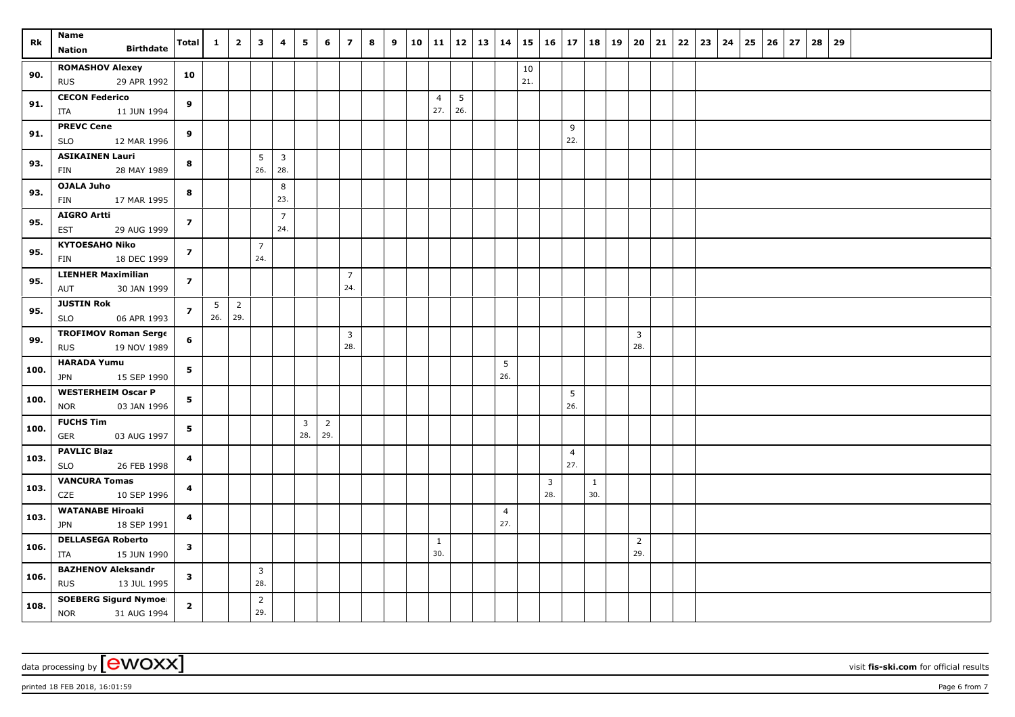| Rk   | Name<br><b>Birthdate</b><br>Nation              | <b>Total</b>   | $\mathbf{1}$ | $\overline{2}$        | $\overline{\mathbf{3}}$ | 4                     | 5              | 6              | $\overline{z}$        | 8 | 9 | 10 | 11   12   13   14   |     |                        |     | $15 \mid 16 \mid 17$ |                       | 18           | 19   20               | 21 | $22 \mid 23 \mid$ | $24 \mid 25$ | $26 \mid 27$ | 28<br>29 |  |  |  |
|------|-------------------------------------------------|----------------|--------------|-----------------------|-------------------------|-----------------------|----------------|----------------|-----------------------|---|---|----|---------------------|-----|------------------------|-----|----------------------|-----------------------|--------------|-----------------------|----|-------------------|--------------|--------------|----------|--|--|--|
|      | <b>ROMASHOV Alexey</b>                          |                |              |                       |                         |                       |                |                |                       |   |   |    |                     |     |                        | 10  |                      |                       |              |                       |    |                   |              |              |          |  |  |  |
| 90.  | 29 APR 1992<br><b>RUS</b>                       | 10             |              |                       |                         |                       |                |                |                       |   |   |    |                     |     |                        | 21. |                      |                       |              |                       |    |                   |              |              |          |  |  |  |
| 91.  | <b>CECON Federico</b>                           |                |              |                       |                         |                       |                |                |                       |   |   |    | $\overline{4}$      | 5   |                        |     |                      |                       |              |                       |    |                   |              |              |          |  |  |  |
|      | 11 JUN 1994<br>ITA                              | 9              |              |                       |                         |                       |                |                |                       |   |   |    | 27.                 | 26. |                        |     |                      |                       |              |                       |    |                   |              |              |          |  |  |  |
| 91.  | <b>PREVC Cene</b><br><b>SLO</b><br>12 MAR 1996  | 9              |              |                       |                         |                       |                |                |                       |   |   |    |                     |     |                        |     |                      | 9<br>22.              |              |                       |    |                   |              |              |          |  |  |  |
|      | <b>ASIKAINEN Lauri</b>                          |                |              |                       | 5                       | $\overline{3}$        |                |                |                       |   |   |    |                     |     |                        |     |                      |                       |              |                       |    |                   |              |              |          |  |  |  |
| 93.  | 28 MAY 1989<br>FIN                              | 8              |              |                       | 26.                     | 28.                   |                |                |                       |   |   |    |                     |     |                        |     |                      |                       |              |                       |    |                   |              |              |          |  |  |  |
| 93.  | <b>OJALA Juho</b>                               | 8              |              |                       |                         | 8                     |                |                |                       |   |   |    |                     |     |                        |     |                      |                       |              |                       |    |                   |              |              |          |  |  |  |
|      | 17 MAR 1995<br>FIN                              |                |              |                       |                         | 23.                   |                |                |                       |   |   |    |                     |     |                        |     |                      |                       |              |                       |    |                   |              |              |          |  |  |  |
| 95.  | <b>AIGRO Artti</b><br>29 AUG 1999<br>EST        | $\overline{z}$ |              |                       |                         | $\overline{7}$<br>24. |                |                |                       |   |   |    |                     |     |                        |     |                      |                       |              |                       |    |                   |              |              |          |  |  |  |
| 95.  | <b>KYTOESAHO Niko</b>                           | $\overline{7}$ |              |                       | $\overline{7}$          |                       |                |                |                       |   |   |    |                     |     |                        |     |                      |                       |              |                       |    |                   |              |              |          |  |  |  |
|      | 18 DEC 1999<br><b>FIN</b>                       |                |              |                       | 24.                     |                       |                |                |                       |   |   |    |                     |     |                        |     |                      |                       |              |                       |    |                   |              |              |          |  |  |  |
| 95.  | <b>LIENHER Maximilian</b>                       | $\overline{z}$ |              |                       |                         |                       |                |                | $\overline{7}$<br>24. |   |   |    |                     |     |                        |     |                      |                       |              |                       |    |                   |              |              |          |  |  |  |
|      | 30 JAN 1999<br>AUT<br><b>JUSTIN Rok</b>         |                |              |                       |                         |                       |                |                |                       |   |   |    |                     |     |                        |     |                      |                       |              |                       |    |                   |              |              |          |  |  |  |
| 95.  | <b>SLO</b><br>06 APR 1993                       | $\overline{z}$ | 5<br>26.     | $\overline{2}$<br>29. |                         |                       |                |                |                       |   |   |    |                     |     |                        |     |                      |                       |              |                       |    |                   |              |              |          |  |  |  |
| 99.  | <b>TROFIMOV Roman Serge</b>                     | 6              |              |                       |                         |                       |                |                | $\overline{3}$        |   |   |    |                     |     |                        |     |                      |                       |              | $\overline{3}$        |    |                   |              |              |          |  |  |  |
|      | 19 NOV 1989<br><b>RUS</b>                       |                |              |                       |                         |                       |                |                | 28.                   |   |   |    |                     |     |                        |     |                      |                       |              | 28.                   |    |                   |              |              |          |  |  |  |
| 100. | <b>HARADA Yumu</b><br>15 SEP 1990<br>JPN        | 5              |              |                       |                         |                       |                |                |                       |   |   |    |                     |     | $5\phantom{.0}$<br>26. |     |                      |                       |              |                       |    |                   |              |              |          |  |  |  |
|      | <b>WESTERHEIM Oscar P</b>                       |                |              |                       |                         |                       |                |                |                       |   |   |    |                     |     |                        |     |                      | 5                     |              |                       |    |                   |              |              |          |  |  |  |
| 100. | 03 JAN 1996<br><b>NOR</b>                       | 5              |              |                       |                         |                       |                |                |                       |   |   |    |                     |     |                        |     |                      | 26.                   |              |                       |    |                   |              |              |          |  |  |  |
| 100. | <b>FUCHS Tim</b>                                | 5              |              |                       |                         |                       | $\overline{3}$ | $\overline{2}$ |                       |   |   |    |                     |     |                        |     |                      |                       |              |                       |    |                   |              |              |          |  |  |  |
|      | <b>GER</b><br>03 AUG 1997                       |                |              |                       |                         |                       | 28.            | 29.            |                       |   |   |    |                     |     |                        |     |                      |                       |              |                       |    |                   |              |              |          |  |  |  |
| 103. | <b>PAVLIC Blaz</b><br>26 FEB 1998<br><b>SLO</b> | 4              |              |                       |                         |                       |                |                |                       |   |   |    |                     |     |                        |     |                      | $\overline{4}$<br>27. |              |                       |    |                   |              |              |          |  |  |  |
|      | <b>VANCURA Tomas</b>                            |                |              |                       |                         |                       |                |                |                       |   |   |    |                     |     |                        |     | $\overline{3}$       |                       | $\mathbf{1}$ |                       |    |                   |              |              |          |  |  |  |
| 103. | CZE<br>10 SEP 1996                              | 4              |              |                       |                         |                       |                |                |                       |   |   |    |                     |     |                        |     | 28.                  |                       | 30.          |                       |    |                   |              |              |          |  |  |  |
| 103. | <b>WATANABE Hiroaki</b>                         | $\overline{4}$ |              |                       |                         |                       |                |                |                       |   |   |    |                     |     | $\overline{4}$         |     |                      |                       |              |                       |    |                   |              |              |          |  |  |  |
|      | 18 SEP 1991<br><b>JPN</b>                       |                |              |                       |                         |                       |                |                |                       |   |   |    |                     |     | 27.                    |     |                      |                       |              |                       |    |                   |              |              |          |  |  |  |
| 106. | <b>DELLASEGA Roberto</b><br>15 JUN 1990<br>ITA  | $\mathbf{3}$   |              |                       |                         |                       |                |                |                       |   |   |    | $\mathbf{1}$<br>30. |     |                        |     |                      |                       |              | $\overline{2}$<br>29. |    |                   |              |              |          |  |  |  |
|      | <b>BAZHENOV Aleksandr</b>                       |                |              |                       | $\mathbf{3}$            |                       |                |                |                       |   |   |    |                     |     |                        |     |                      |                       |              |                       |    |                   |              |              |          |  |  |  |
| 106. | 13 JUL 1995<br><b>RUS</b>                       | $\mathbf{3}$   |              |                       | 28.                     |                       |                |                |                       |   |   |    |                     |     |                        |     |                      |                       |              |                       |    |                   |              |              |          |  |  |  |
| 108. | <b>SOEBERG Sigurd Nymoel</b>                    | $\mathbf{2}$   |              |                       | $\overline{2}$          |                       |                |                |                       |   |   |    |                     |     |                        |     |                      |                       |              |                       |    |                   |              |              |          |  |  |  |
|      | <b>NOR</b><br>31 AUG 1994                       |                |              |                       | 29.                     |                       |                |                |                       |   |   |    |                     |     |                        |     |                      |                       |              |                       |    |                   |              |              |          |  |  |  |

printed 18 FEB 2018, 16:01:59 **Page 6** from 7